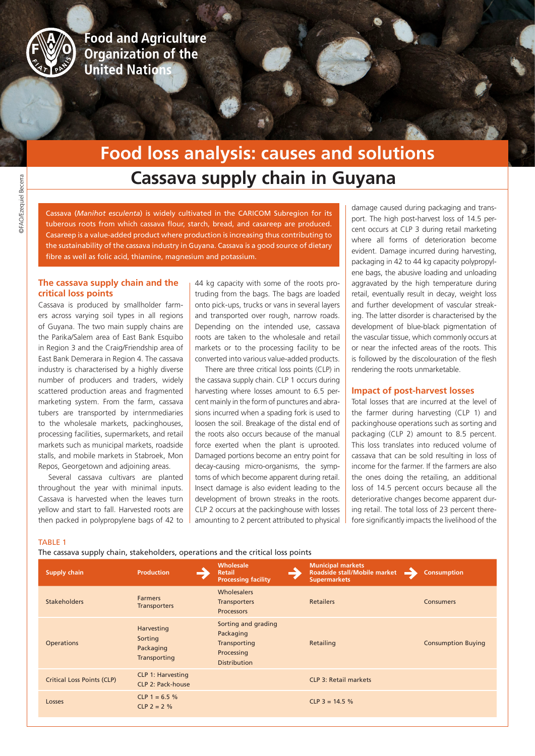

**Food and Agriculture Organization of the United Nations** 

# **Cassava supply chain in Guyana Food loss analysis: causes and solutions**

Cassava (*Manihot esculenta*) is widely cultivated in the CARICOM Subregion for its tuberous roots from which cassava flour, starch, bread, and casareep are produced. Casareep is a value-added product where production is increasing thus contributing to the sustainability of the cassava industry in Guyana. Cassava is a good source of dietary fibre as well as folic acid, thiamine, magnesium and potassium.

# **The cassava supply chain and the critical loss points**

Cassava is produced by smallholder farmers across varying soil types in all regions of Guyana. The two main supply chains are the Parika/Salem area of East Bank Esquibo in Region 3 and the Craig/Friendship area of East Bank Demerara in Region 4. The cassava industry is characterised by a highly diverse number of producers and traders, widely scattered production areas and fragmented marketing system. From the farm, cassava tubers are transported by internmediaries to the wholesale markets, packinghouses, processing facilities, supermarkets, and retail markets such as municipal markets, roadside stalls, and mobile markets in Stabroek, Mon Repos, Georgetown and adjoining areas.

Several cassava cultivars are planted throughout the year with minimal inputs. Cassava is harvested when the leaves turn yellow and start to fall. Harvested roots are then packed in polypropylene bags of 42 to 44 kg capacity with some of the roots protruding from the bags. The bags are loaded onto pick-ups, trucks or vans in several layers and transported over rough, narrow roads. Depending on the intended use, cassava roots are taken to the wholesale and retail markets or to the processing facility to be converted into various value-added products.

There are three critical loss points (CLP) in the cassava supply chain. CLP 1 occurs during harvesting where losses amount to 6.5 percent mainly in the form of punctures and abrasions incurred when a spading fork is used to loosen the soil. Breakage of the distal end of the roots also occurs because of the manual force exerted when the plant is uprooted. Damaged portions become an entry point for decay-causing micro-organisms, the symptoms of which become apparent during retail. Insect damage is also evident leading to the development of brown streaks in the roots. CLP 2 occurs at the packinghouse with losses amounting to 2 percent attributed to physical

damage caused during packaging and transport. The high post-harvest loss of 14.5 percent occurs at CLP 3 during retail marketing where all forms of deterioration become evident. Damage incurred during harvesting, packaging in 42 to 44 kg capacity polypropylene bags, the abusive loading and unloading aggravated by the high temperature during retail, eventually result in decay, weight loss and further development of vascular streaking. The latter disorder is characterised by the development of blue-black pigmentation of the vascular tissue, which commonly occurs at or near the infected areas of the roots. This is followed by the discolouration of the flesh rendering the roots unmarketable.

## **Impact of post-harvest losses**

Total losses that are incurred at the level of the farmer during harvesting (CLP 1) and packinghouse operations such as sorting and packaging (CLP 2) amount to 8.5 percent. This loss translates into reduced volume of cassava that can be sold resulting in loss of income for the farmer. If the farmers are also the ones doing the retailing, an additional loss of 14.5 percent occurs because all the deteriorative changes become apparent during retail. The total loss of 23 percent therefore significantly impacts the livelihood of the

#### TABLE 1

The cassava supply chain, stakeholders, operations and the critical loss points

| <b>Supply chain</b>               | <b>Production</b>                                    | Wholesale<br><b>Retail</b><br><b>Processing facility</b>                              | <b>Municipal markets</b><br>Roadside stall/Mobile market<br><b>Supermarkets</b> | <b>Consumption</b>        |
|-----------------------------------|------------------------------------------------------|---------------------------------------------------------------------------------------|---------------------------------------------------------------------------------|---------------------------|
| <b>Stakeholders</b>               | <b>Farmers</b><br><b>Transporters</b>                | <b>Wholesalers</b><br><b>Transporters</b><br><b>Processors</b>                        | <b>Retailers</b>                                                                | <b>Consumers</b>          |
| <b>Operations</b>                 | Harvesting<br>Sorting<br>Packaging<br>Transporting   | Sorting and grading<br>Packaging<br>Transporting<br>Processing<br><b>Distribution</b> | Retailing                                                                       | <b>Consumption Buying</b> |
| <b>Critical Loss Points (CLP)</b> | <b>CLP 1: Harvesting</b><br><b>CLP 2: Pack-house</b> |                                                                                       | <b>CLP 3: Retail markets</b>                                                    |                           |
| Losses                            | CLP 1 = 6.5 %<br>$CLP$ 2 = 2 %                       |                                                                                       | $CLP$ 3 = 14.5 %                                                                |                           |